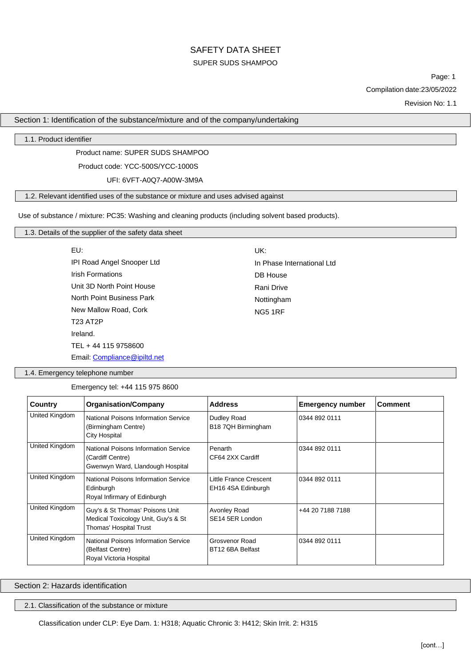# SAFETY DATA SHEET SUPER SUDS SHAMPOO

Page: 1 Compilation date:23/05/2022

Revision No: 1.1

Section 1: Identification of the substance/mixture and of the company/undertaking

1.1. Product identifier

Product name: SUPER SUDS SHAMPOO

Product code: YCC-500S/YCC-1000S

UFI: 6VFT-A0Q7-A00W-3M9A

1.2. Relevant identified uses of the substance or mixture and uses advised against

Use of substance / mixture: PC35: Washing and cleaning products (including solvent based products).

| 1.3. Details of the supplier of the safety data sheet |
|-------------------------------------------------------|
|-------------------------------------------------------|

| EU:                          | UK:                        |
|------------------------------|----------------------------|
| IPI Road Angel Snooper Ltd   | In Phase International Ltd |
| <b>Irish Formations</b>      | DB House                   |
| Unit 3D North Point House    | Rani Drive                 |
| North Point Business Park    | Nottingham                 |
| New Mallow Road, Cork        | <b>NG5 1RF</b>             |
| <b>T23 AT2P</b>              |                            |
| Ireland.                     |                            |
| TEL + 44 115 9758600         |                            |
| Email: Compliance@ipiltd.net |                            |

1.4. Emergency telephone number

Emergency tel: +44 115 975 8600

| Country        | <b>Organisation/Company</b>                                                                      | <b>Address</b>                                      | <b>Emergency number</b> | <b>Comment</b> |
|----------------|--------------------------------------------------------------------------------------------------|-----------------------------------------------------|-------------------------|----------------|
| United Kingdom | National Poisons Information Service<br>(Birmingham Centre)<br><b>City Hospital</b>              | Dudley Road<br>B18 7QH Birmingham                   | 0344 892 0111           |                |
| United Kingdom | National Poisons Information Service<br>(Cardiff Centre)<br>Gwenwyn Ward, Llandough Hospital     | Penarth<br>CF64 2XX Cardiff                         | 0344 892 0111           |                |
| United Kingdom | National Poisons Information Service<br>Edinburgh<br>Royal Infirmary of Edinburgh                | <b>Little France Crescent</b><br>EH16 4SA Edinburgh | 0344 892 0111           |                |
| United Kingdom | Guy's & St Thomas' Poisons Unit<br>Medical Toxicology Unit, Guy's & St<br>Thomas' Hospital Trust | Avonley Road<br>SE14 5ER London                     | +44 20 7188 7188        |                |
| United Kingdom | National Poisons Information Service<br>(Belfast Centre)<br>Royal Victoria Hospital              | Grosvenor Road<br>BT12 6BA Belfast                  | 0344 892 0111           |                |

Section 2: Hazards identification

2.1. Classification of the substance or mixture

Classification under CLP: Eye Dam. 1: H318; Aquatic Chronic 3: H412; Skin Irrit. 2: H315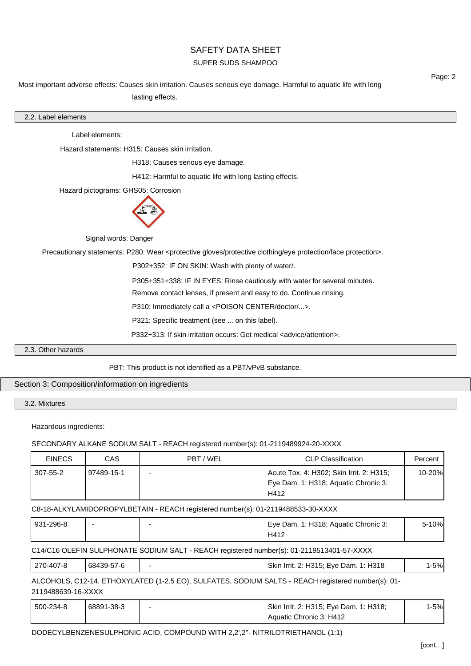## SUPER SUDS SHAMPOO

Most important adverse effects: Causes skin irritation. Causes serious eye damage. Harmful to aquatic life with long lasting effects.

| Label elements:                                                     | Hazard statements: H315: Causes skin irritation.                                       |                                                                                          |                                                                                                                                                                                                                                                                                                                                                                                                                                                                                                                                                                                                                                                                                                                                                                                                                                                               |
|---------------------------------------------------------------------|----------------------------------------------------------------------------------------|------------------------------------------------------------------------------------------|---------------------------------------------------------------------------------------------------------------------------------------------------------------------------------------------------------------------------------------------------------------------------------------------------------------------------------------------------------------------------------------------------------------------------------------------------------------------------------------------------------------------------------------------------------------------------------------------------------------------------------------------------------------------------------------------------------------------------------------------------------------------------------------------------------------------------------------------------------------|
|                                                                     |                                                                                        |                                                                                          |                                                                                                                                                                                                                                                                                                                                                                                                                                                                                                                                                                                                                                                                                                                                                                                                                                                               |
|                                                                     |                                                                                        |                                                                                          |                                                                                                                                                                                                                                                                                                                                                                                                                                                                                                                                                                                                                                                                                                                                                                                                                                                               |
|                                                                     | H318: Causes serious eye damage.                                                       |                                                                                          |                                                                                                                                                                                                                                                                                                                                                                                                                                                                                                                                                                                                                                                                                                                                                                                                                                                               |
|                                                                     | H412: Harmful to aquatic life with long lasting effects.                               |                                                                                          |                                                                                                                                                                                                                                                                                                                                                                                                                                                                                                                                                                                                                                                                                                                                                                                                                                                               |
| Hazard pictograms: GHS05: Corrosion                                 |                                                                                        |                                                                                          |                                                                                                                                                                                                                                                                                                                                                                                                                                                                                                                                                                                                                                                                                                                                                                                                                                                               |
|                                                                     |                                                                                        |                                                                                          |                                                                                                                                                                                                                                                                                                                                                                                                                                                                                                                                                                                                                                                                                                                                                                                                                                                               |
|                                                                     |                                                                                        |                                                                                          |                                                                                                                                                                                                                                                                                                                                                                                                                                                                                                                                                                                                                                                                                                                                                                                                                                                               |
|                                                                     |                                                                                        |                                                                                          |                                                                                                                                                                                                                                                                                                                                                                                                                                                                                                                                                                                                                                                                                                                                                                                                                                                               |
|                                                                     |                                                                                        |                                                                                          |                                                                                                                                                                                                                                                                                                                                                                                                                                                                                                                                                                                                                                                                                                                                                                                                                                                               |
| Remove contact lenses, if present and easy to do. Continue rinsing. |                                                                                        |                                                                                          |                                                                                                                                                                                                                                                                                                                                                                                                                                                                                                                                                                                                                                                                                                                                                                                                                                                               |
| P310: Immediately call a <poison center="" doctor=""></poison> .    |                                                                                        |                                                                                          |                                                                                                                                                                                                                                                                                                                                                                                                                                                                                                                                                                                                                                                                                                                                                                                                                                                               |
|                                                                     |                                                                                        |                                                                                          |                                                                                                                                                                                                                                                                                                                                                                                                                                                                                                                                                                                                                                                                                                                                                                                                                                                               |
|                                                                     |                                                                                        |                                                                                          |                                                                                                                                                                                                                                                                                                                                                                                                                                                                                                                                                                                                                                                                                                                                                                                                                                                               |
|                                                                     |                                                                                        |                                                                                          |                                                                                                                                                                                                                                                                                                                                                                                                                                                                                                                                                                                                                                                                                                                                                                                                                                                               |
|                                                                     |                                                                                        |                                                                                          |                                                                                                                                                                                                                                                                                                                                                                                                                                                                                                                                                                                                                                                                                                                                                                                                                                                               |
|                                                                     |                                                                                        |                                                                                          |                                                                                                                                                                                                                                                                                                                                                                                                                                                                                                                                                                                                                                                                                                                                                                                                                                                               |
| CAS                                                                 | PBT / WEL                                                                              | <b>CLP Classification</b>                                                                | Percent                                                                                                                                                                                                                                                                                                                                                                                                                                                                                                                                                                                                                                                                                                                                                                                                                                                       |
|                                                                     |                                                                                        | Acute Tox. 4: H302; Skin Irrit. 2: H315;<br>Eye Dam. 1: H318; Aquatic Chronic 3:<br>H412 | 10-20%                                                                                                                                                                                                                                                                                                                                                                                                                                                                                                                                                                                                                                                                                                                                                                                                                                                        |
|                                                                     |                                                                                        |                                                                                          |                                                                                                                                                                                                                                                                                                                                                                                                                                                                                                                                                                                                                                                                                                                                                                                                                                                               |
|                                                                     |                                                                                        | Eye Dam. 1: H318; Aquatic Chronic 3:<br>H412                                             | 5-10%                                                                                                                                                                                                                                                                                                                                                                                                                                                                                                                                                                                                                                                                                                                                                                                                                                                         |
|                                                                     |                                                                                        |                                                                                          |                                                                                                                                                                                                                                                                                                                                                                                                                                                                                                                                                                                                                                                                                                                                                                                                                                                               |
|                                                                     |                                                                                        | Skin Irrit. 2: H315; Eye Dam. 1: H318                                                    | $1 - 5%$                                                                                                                                                                                                                                                                                                                                                                                                                                                                                                                                                                                                                                                                                                                                                                                                                                                      |
|                                                                     |                                                                                        |                                                                                          |                                                                                                                                                                                                                                                                                                                                                                                                                                                                                                                                                                                                                                                                                                                                                                                                                                                               |
|                                                                     |                                                                                        | Skin Irrit. 2: H315; Eye Dam. 1: H318;<br>Aquatic Chronic 3: H412                        | $1 - 5%$                                                                                                                                                                                                                                                                                                                                                                                                                                                                                                                                                                                                                                                                                                                                                                                                                                                      |
|                                                                     | Hazardous ingredients:<br>97489-15-1<br>68439-57-6<br>2119488639-16-XXXX<br>68891-38-3 | Signal words: Danger<br>Section 3: Composition/information on ingredients                | Precautionary statements: P280: Wear <protective clothing="" eye="" face="" gloves="" protection="" protective="">.<br/>P302+352: IF ON SKIN: Wash with plenty of water/.<br/>P305+351+338: IF IN EYES: Rinse cautiously with water for several minutes.<br/>P321: Specific treatment (see  on this label).<br/>P332+313: If skin irritation occurs: Get medical <advice attention="">.<br/>PBT: This product is not identified as a PBT/vPvB substance.<br/>SECONDARY ALKANE SODIUM SALT - REACH registered number(s): 01-2119489924-20-XXXX<br/>C8-18-ALKYLAMIDOPROPYLBETAIN - REACH registered number(s): 01-2119488533-30-XXXX<br/>C14/C16 OLEFIN SULPHONATE SODIUM SALT - REACH registered number(s): 01-2119513401-57-XXXX<br/>ALCOHOLS, C12-14, ETHOXYLATED (1-2.5 EO), SULFATES, SODIUM SALTS - REACH registered number(s): 01-</advice></protective> |

Page: 2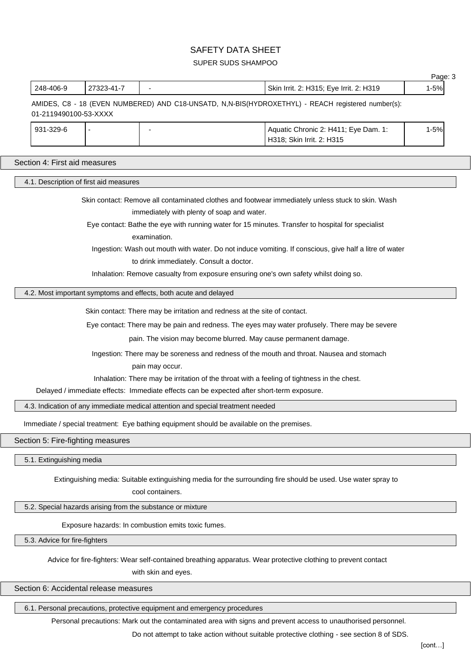## SUPER SUDS SHAMPOO

| 248-406-9                              | 27323-41-7                             |                                                                                           | Skin Irrit. 2: H315; Eye Irrit. 2: H319                                                                        | $1 - 5%$ |
|----------------------------------------|----------------------------------------|-------------------------------------------------------------------------------------------|----------------------------------------------------------------------------------------------------------------|----------|
| 01-2119490100-53-XXXX                  |                                        |                                                                                           | AMIDES, C8 - 18 (EVEN NUMBERED) AND C18-UNSATD, N,N-BIS(HYDROXETHYL) - REACH registered number(s):             |          |
| 931-329-6                              |                                        |                                                                                           | Aquatic Chronic 2: H411; Eye Dam. 1:<br>H318; Skin Irrit. 2: H315                                              | $1 - 5%$ |
|                                        |                                        |                                                                                           |                                                                                                                |          |
| Section 4: First aid measures          |                                        |                                                                                           |                                                                                                                |          |
|                                        | 4.1. Description of first aid measures |                                                                                           |                                                                                                                |          |
|                                        |                                        |                                                                                           | Skin contact: Remove all contaminated clothes and footwear immediately unless stuck to skin. Wash              |          |
|                                        |                                        | immediately with plenty of soap and water.                                                |                                                                                                                |          |
|                                        |                                        |                                                                                           | Eye contact: Bathe the eye with running water for 15 minutes. Transfer to hospital for specialist              |          |
|                                        |                                        | examination.                                                                              |                                                                                                                |          |
|                                        |                                        |                                                                                           | Ingestion: Wash out mouth with water. Do not induce vomiting. If conscious, give half a litre of water         |          |
|                                        |                                        | to drink immediately. Consult a doctor.                                                   |                                                                                                                |          |
|                                        |                                        |                                                                                           | Inhalation: Remove casualty from exposure ensuring one's own safety whilst doing so.                           |          |
|                                        |                                        | 4.2. Most important symptoms and effects, both acute and delayed                          |                                                                                                                |          |
|                                        |                                        | Skin contact: There may be irritation and redness at the site of contact.                 |                                                                                                                |          |
|                                        |                                        |                                                                                           | Eye contact: There may be pain and redness. The eyes may water profusely. There may be severe                  |          |
|                                        |                                        |                                                                                           | pain. The vision may become blurred. May cause permanent damage.                                               |          |
|                                        |                                        |                                                                                           | Ingestion: There may be soreness and redness of the mouth and throat. Nausea and stomach                       |          |
|                                        |                                        | pain may occur.                                                                           |                                                                                                                |          |
|                                        |                                        |                                                                                           | Inhalation: There may be irritation of the throat with a feeling of tightness in the chest.                    |          |
|                                        |                                        |                                                                                           | Delayed / immediate effects: Immediate effects can be expected after short-term exposure.                      |          |
|                                        |                                        | 4.3. Indication of any immediate medical attention and special treatment needed           |                                                                                                                |          |
|                                        |                                        | Immediate / special treatment: Eye bathing equipment should be available on the premises. |                                                                                                                |          |
| Section 5: Fire-fighting measures      |                                        |                                                                                           |                                                                                                                |          |
| 5.1. Extinguishing media               |                                        |                                                                                           |                                                                                                                |          |
|                                        |                                        | cool containers.                                                                          | Extinguishing media: Suitable extinguishing media for the surrounding fire should be used. Use water spray to  |          |
|                                        |                                        | 5.2. Special hazards arising from the substance or mixture                                |                                                                                                                |          |
|                                        |                                        | Exposure hazards: In combustion emits toxic fumes.                                        |                                                                                                                |          |
| 5.3. Advice for fire-fighters          |                                        |                                                                                           |                                                                                                                |          |
|                                        |                                        | with skin and eyes.                                                                       | Advice for fire-fighters: Wear self-contained breathing apparatus. Wear protective clothing to prevent contact |          |
| Section 6: Accidental release measures |                                        |                                                                                           |                                                                                                                |          |
|                                        |                                        |                                                                                           |                                                                                                                |          |

6.1. Personal precautions, protective equipment and emergency procedures

Personal precautions: Mark out the contaminated area with signs and prevent access to unauthorised personnel.

Do not attempt to take action without suitable protective clothing - see section 8 of SDS.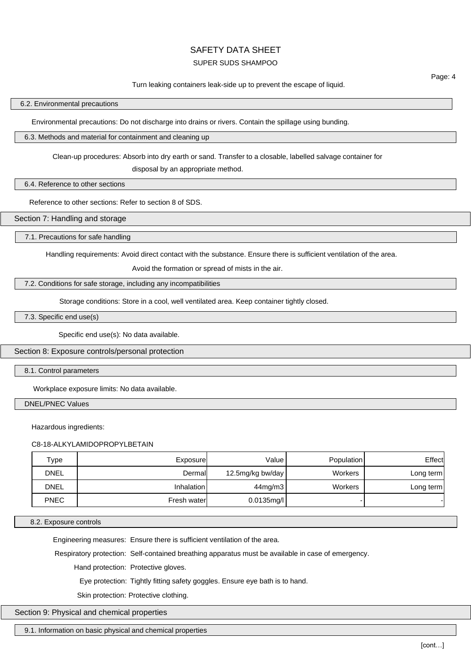#### SUPER SUDS SHAMPOO

#### Turn leaking containers leak-side up to prevent the escape of liquid.

#### 6.2. Environmental precautions

Environmental precautions: Do not discharge into drains or rivers. Contain the spillage using bunding.

#### 6.3. Methods and material for containment and cleaning up

Clean-up procedures: Absorb into dry earth or sand. Transfer to a closable, labelled salvage container for

disposal by an appropriate method.

6.4. Reference to other sections

Reference to other sections: Refer to section 8 of SDS.

Section 7: Handling and storage

7.1. Precautions for safe handling

Handling requirements: Avoid direct contact with the substance. Ensure there is sufficient ventilation of the area.

Avoid the formation or spread of mists in the air.

#### 7.2. Conditions for safe storage, including any incompatibilities

Storage conditions: Store in a cool, well ventilated area. Keep container tightly closed.

7.3. Specific end use(s)

Specific end use(s): No data available.

Section 8: Exposure controls/personal protection

8.1. Control parameters

Workplace exposure limits: No data available.

DNEL/PNEC Values

Hazardous ingredients:

C8-18-ALKYLAMIDOPROPYLBETAIN

| Type        | Exposure    | Value            | <b>Population</b> | Effect    |
|-------------|-------------|------------------|-------------------|-----------|
| <b>DNEL</b> | Dermal      | 12.5mg/kg bw/day | Workers           | Long term |
| <b>DNEL</b> | Inhalation  | $44$ mg/m $3$    | Workers           | Long term |
| <b>PNEC</b> | Fresh water | $0.0135$ mg/l    |                   |           |

8.2. Exposure controls

Engineering measures: Ensure there is sufficient ventilation of the area.

Respiratory protection: Self-contained breathing apparatus must be available in case of emergency.

Hand protection: Protective gloves.

Eye protection: Tightly fitting safety goggles. Ensure eye bath is to hand.

Skin protection: Protective clothing.

Section 9: Physical and chemical properties

9.1. Information on basic physical and chemical properties

Page: 4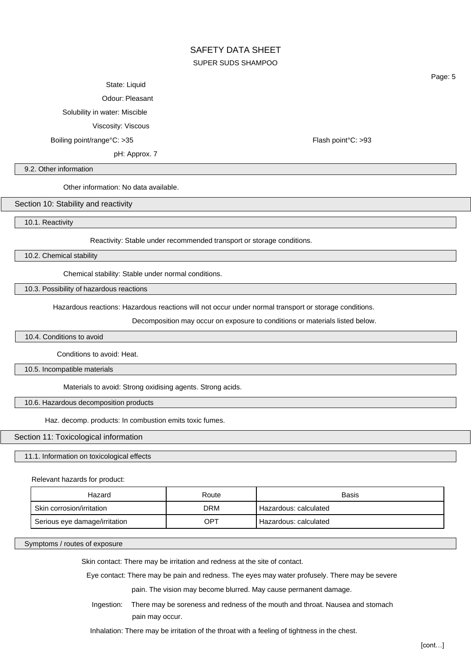# SAFETY DATA SHEET SUPER SUDS SHAMPOO

#### State: Liquid

Odour: Pleasant

Solubility in water: Miscible

Viscosity: Viscous

Boiling point/range°C: >35 Flash point°C: >93

pH: Approx. 7

Page: 5

#### 9.2. Other information

Other information: No data available.

Section 10: Stability and reactivity

10.1. Reactivity

Reactivity: Stable under recommended transport or storage conditions.

10.2. Chemical stability

Chemical stability: Stable under normal conditions.

10.3. Possibility of hazardous reactions

Hazardous reactions: Hazardous reactions will not occur under normal transport or storage conditions.

Decomposition may occur on exposure to conditions or materials listed below.

10.4. Conditions to avoid

Conditions to avoid: Heat.

10.5. Incompatible materials

Materials to avoid: Strong oxidising agents. Strong acids.

10.6. Hazardous decomposition products

Haz. decomp. products: In combustion emits toxic fumes.

### Section 11: Toxicological information

11.1. Information on toxicological effects

Relevant hazards for product:

| Hazard                        | Route      | <b>Basis</b>          |
|-------------------------------|------------|-----------------------|
| Skin corrosion/irritation     | <b>DRM</b> | Hazardous: calculated |
| Serious eye damage/irritation | OPT        | Hazardous: calculated |

Symptoms / routes of exposure

Skin contact: There may be irritation and redness at the site of contact.

Eye contact: There may be pain and redness. The eyes may water profusely. There may be severe

pain. The vision may become blurred. May cause permanent damage.

Ingestion: There may be soreness and redness of the mouth and throat. Nausea and stomach pain may occur.

Inhalation: There may be irritation of the throat with a feeling of tightness in the chest.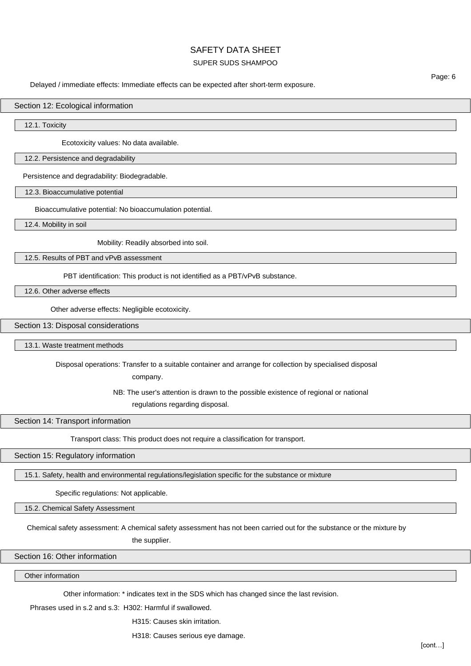### SUPER SUDS SHAMPOO

Delayed / immediate effects: Immediate effects can be expected after short-term exposure.

#### Section 12: Ecological information

12.1. Toxicity

Ecotoxicity values: No data available.

#### 12.2. Persistence and degradability

Persistence and degradability: Biodegradable.

#### 12.3. Bioaccumulative potential

Bioaccumulative potential: No bioaccumulation potential.

12.4. Mobility in soil

Mobility: Readily absorbed into soil.

12.5. Results of PBT and vPvB assessment

PBT identification: This product is not identified as a PBT/vPvB substance.

12.6. Other adverse effects

Other adverse effects: Negligible ecotoxicity.

#### Section 13: Disposal considerations

13.1. Waste treatment methods

Disposal operations: Transfer to a suitable container and arrange for collection by specialised disposal

company.

NB: The user's attention is drawn to the possible existence of regional or national

regulations regarding disposal.

Section 14: Transport information

Transport class: This product does not require a classification for transport.

Section 15: Regulatory information

15.1. Safety, health and environmental regulations/legislation specific for the substance or mixture

Specific regulations: Not applicable.

15.2. Chemical Safety Assessment

Chemical safety assessment: A chemical safety assessment has not been carried out for the substance or the mixture by

the supplier.

## Section 16: Other information

Other information

Other information: \* indicates text in the SDS which has changed since the last revision.

Phrases used in s.2 and s.3: H302: Harmful if swallowed.

H315: Causes skin irritation.

H318: Causes serious eye damage.

Page: 6